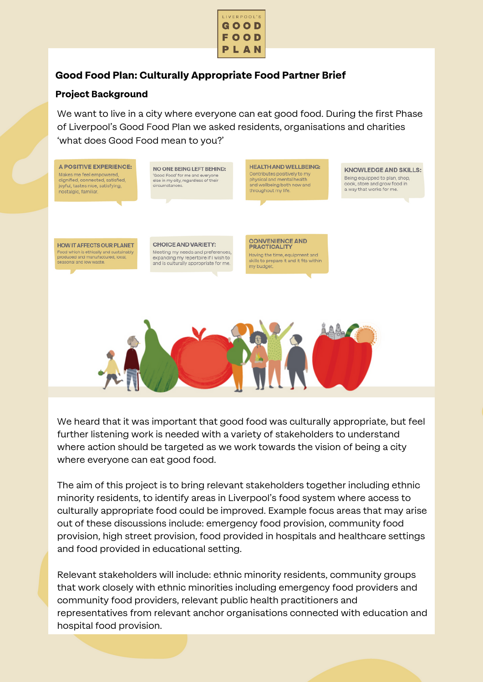

# **Good Food Plan: Culturally Appropriate Food Partner Brief**

# **Project Background**

We want to live in a city where everyone can eat good food. During the first Phase of Liverpool's Good Food Plan we asked residents, organisations and charities 'what does Good Food mean to you?'



We heard that it was important that good food was culturally appropriate, but feel further listening work is needed with a variety of stakeholders to understand where action should be targeted as we work towards the vision of being a city where everyone can eat good food.

The aim of this project is to bring relevant stakeholders together including ethnic minority residents, to identify areas in Liverpool's food system where access to culturally appropriate food could be improved. Example focus areas that may arise out of these discussions include: emergency food provision, community food provision, high street provision, food provided in hospitals and healthcare settings and food provided in educational setting.

Relevant stakeholders will include: ethnic minority residents, community groups that work closely with ethnic minorities including emergency food providers and community food providers, relevant public health practitioners and representatives from relevant anchor organisations connected with education and hospital food provision.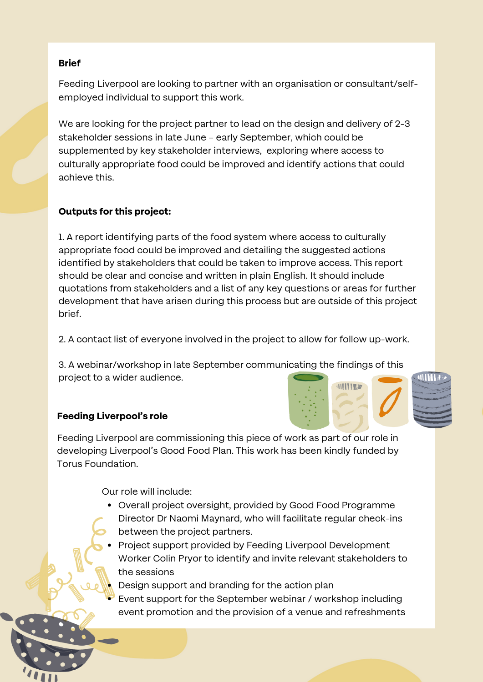#### **Brief**

Feeding Liverpool are looking to partner with an organisation or consultant/selfemployed individual to support this work.

We are looking for the project partner to lead on the design and delivery of 2-3 stakeholder sessions in late June – early September, which could be supplemented by key stakeholder interviews, exploring where access to culturally appropriate food could be improved and identify actions that could achieve this.

## **Outputs for this project:**

1. A report identifying parts of the food system where access to culturally appropriate food could be improved and detailing the suggested actions identified by stakeholders that could be taken to improve access. This report should be clear and concise and written in plain English. It should include quotations from stakeholders and a list of any key questions or areas for further development that have arisen during this process but are outside of this project brief.

2. A contact list of everyone involved in the project to allow for follow up-work.

3. A webinar/workshop in late September communicating the findings of this project to a wider audience.

## **Feeding Liverpool's role**

Feeding Liverpool are commissioning this piece of work as part of our role in developing Liverpool's Good Food Plan. This work has been kindly funded by Torus Foundation.

Our role will include:

- Overall project oversight, provided by Good Food Programme
- Director Dr Naomi Maynard, who will facilitate regular check-ins
- between the project partners.
- Project support provided by Feeding Liverpool Development Worker Colin Pryor to identify and invite relevant stakeholders to the sessions

Design support and branding for the action plan

Event support for the September webinar / workshop including event promotion and the provision of a venue and refreshments